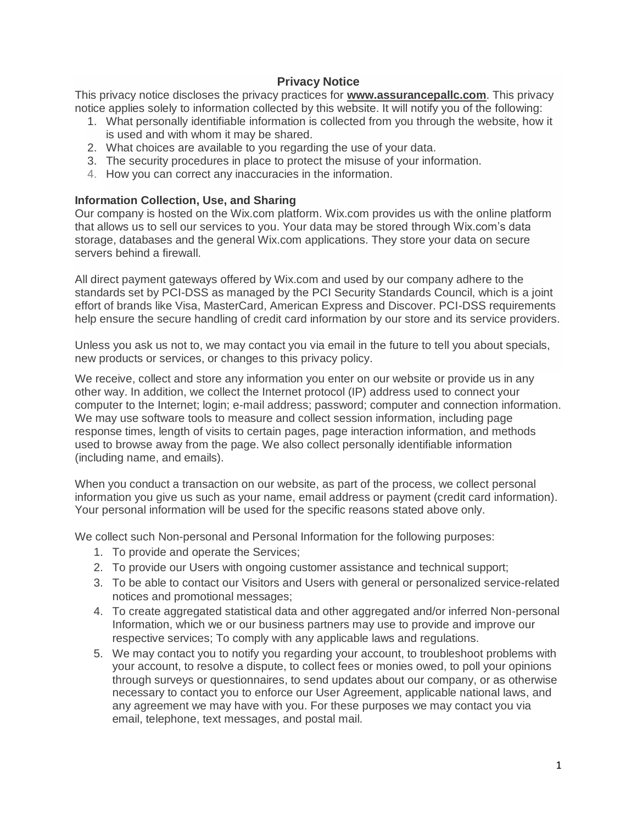# **Privacy Notice**

This privacy notice discloses the privacy practices for **www.assurancepallc.com**. This privacy notice applies solely to information collected by this website. It will notify you of the following:

- 1. What personally identifiable information is collected from you through the website, how it is used and with whom it may be shared.
- 2. What choices are available to you regarding the use of your data.
- 3. The security procedures in place to protect the misuse of your information.
- 4. How you can correct any inaccuracies in the information.

### **Information Collection, Use, and Sharing**

Our company is hosted on the Wix.com platform. Wix.com provides us with the online platform that allows us to sell our services to you. Your data may be stored through Wix.com's data storage, databases and the general Wix.com applications. They store your data on secure servers behind a firewall.

All direct payment gateways offered by Wix.com and used by our company adhere to the standards set by PCI-DSS as managed by the PCI Security Standards Council, which is a joint effort of brands like Visa, MasterCard, American Express and Discover. PCI-DSS requirements help ensure the secure handling of credit card information by our store and its service providers.

Unless you ask us not to, we may contact you via email in the future to tell you about specials, new products or services, or changes to this privacy policy.

We receive, collect and store any information you enter on our website or provide us in any other way. In addition, we collect the Internet protocol (IP) address used to connect your computer to the Internet; login; e-mail address; password; computer and connection information. We may use software tools to measure and collect session information, including page response times, length of visits to certain pages, page interaction information, and methods used to browse away from the page. We also collect personally identifiable information (including name, and emails).

When you conduct a transaction on our website, as part of the process, we collect personal information you give us such as your name, email address or payment (credit card information). Your personal information will be used for the specific reasons stated above only.

We collect such Non-personal and Personal Information for the following purposes:

- 1. To provide and operate the Services;
- 2. To provide our Users with ongoing customer assistance and technical support;
- 3. To be able to contact our Visitors and Users with general or personalized service-related notices and promotional messages;
- 4. To create aggregated statistical data and other aggregated and/or inferred Non-personal Information, which we or our business partners may use to provide and improve our respective services; To comply with any applicable laws and regulations.
- 5. We may contact you to notify you regarding your account, to troubleshoot problems with your account, to resolve a dispute, to collect fees or monies owed, to poll your opinions through surveys or questionnaires, to send updates about our company, or as otherwise necessary to contact you to enforce our User Agreement, applicable national laws, and any agreement we may have with you. For these purposes we may contact you via email, telephone, text messages, and postal mail.